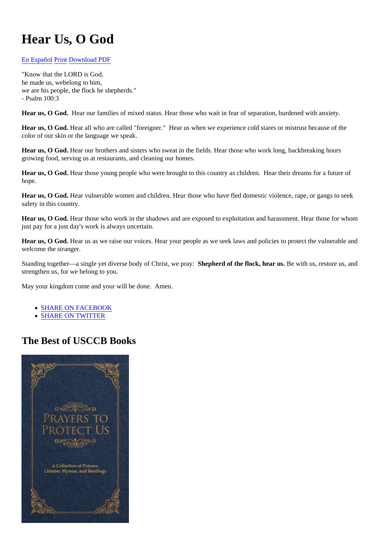## [Hear Us, O Go](http://store.usccb.org/prayers-to-protect-us-p/7-578.htm?utm_source=usccb.org&utm_medium=store_panel&utm_campaign=prayers2PU)d

## [En Españo](https://www.usccb.org/es/prayers/escuchanos-oh-dios)Print[Download PDF](https://www.usccb.org/prayer/pdf/30034/en)

"Know that the LORD is God, he made us, webelong to him, we are his people, the flock he shepherds." - Psalm 100:3

Hear us, O God. Hear our families of mixed status. Hear those who wait in fear of separation, burdened with anxiety.

Hear us, O God. Hear all who are called "foreigner." Hear us when we experience cold stares or mistrust because of the color of our skin or the language we speak.

Hear us, O God. Hear our brothers and sisters who sweat in the fields. Hear those who work long, backbreaking hours growing food, serving us at restaurants, and cleaning our homes.

Hear us, O God. Hear those young people who were brought to this country as children. Hear their dreams for a future of hope.

Hear us, O God. Hear vulnerable women and children. Hear those who have fled domestic violence, rape, or gangs to see safety in this country.

Hear us, O God. Hear those who work in the shadows and are exposed to exploitation and harassment. Hear those for wh just pay for a just day's work is always uncertain.

Hear us, O God. Hear us as we raise our voices. Hear your people as we seek laws and policies to protect the vulnerable welcome the stranger.

Standing together—a single yet diverse body of Christ, we prose phered of the flock, hear us be with us, restore us, and strengthen us, for we belong to you.

May your kingdom come and your will be done. Amen.

- SHARE ON FACEBOOK
- SHARE ON TWITTER

## The Best of USCCB Books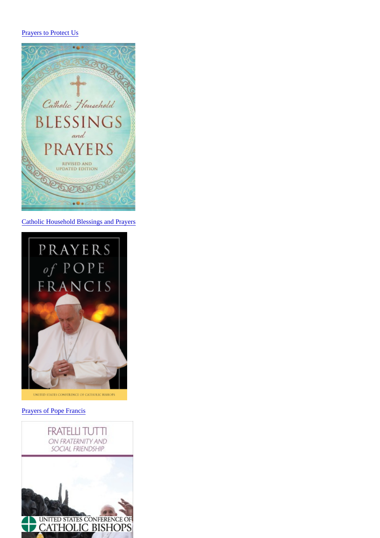Catholic Household Blessings and Prayers

**Prayers of Pope Francis**